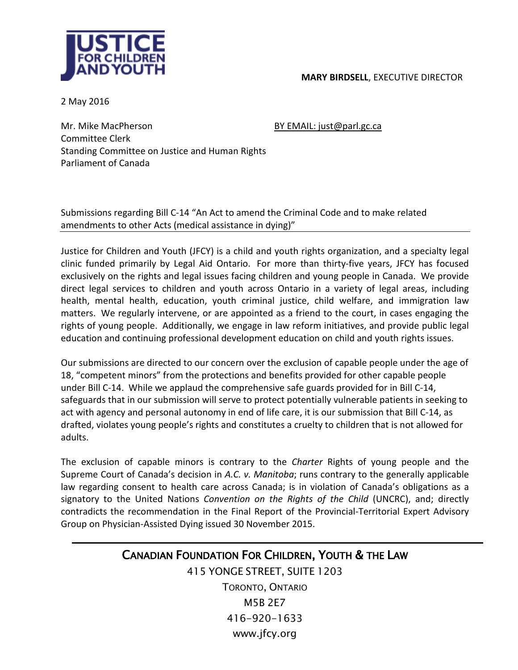

2 May 2016

Mr. Mike MacPherson BY EMAIL: just@parl.gc.ca Committee Clerk Standing Committee on Justice and Human Rights Parliament of Canada

Submissions regarding Bill C-14 "An Act to amend the Criminal Code and to make related amendments to other Acts (medical assistance in dying)"

Justice for Children and Youth (JFCY) is a child and youth rights organization, and a specialty legal clinic funded primarily by Legal Aid Ontario. For more than thirty-five years, JFCY has focused exclusively on the rights and legal issues facing children and young people in Canada. We provide direct legal services to children and youth across Ontario in a variety of legal areas, including health, mental health, education, youth criminal justice, child welfare, and immigration law matters. We regularly intervene, or are appointed as a friend to the court, in cases engaging the rights of young people. Additionally, we engage in law reform initiatives, and provide public legal education and continuing professional development education on child and youth rights issues.

Our submissions are directed to our concern over the exclusion of capable people under the age of 18, "competent minors" from the protections and benefits provided for other capable people under Bill C-14. While we applaud the comprehensive safe guards provided for in Bill C-14, safeguards that in our submission will serve to protect potentially vulnerable patients in seeking to act with agency and personal autonomy in end of life care, it is our submission that Bill C-14, as drafted, violates young people's rights and constitutes a cruelty to children that is not allowed for adults.

The exclusion of capable minors is contrary to the *Charter* Rights of young people and the Supreme Court of Canada's decision in *A.C. v. Manitoba*; runs contrary to the generally applicable law regarding consent to health care across Canada; is in violation of Canada's obligations as a signatory to the United Nations *Convention on the Rights of the Child* (UNCRC), and; directly contradicts the recommendation in the Final Report of the Provincial-Territorial Expert Advisory Group on Physician-Assisted Dying issued 30 November 2015.

## CANADIAN FOUNDATION FOR CHILDREN, YOUTH & THE LAW

415 YONGE STREET, SUITE 1203 TORONTO, ONTARIO M5B 2E7 416-920-1633 www.jfcy.org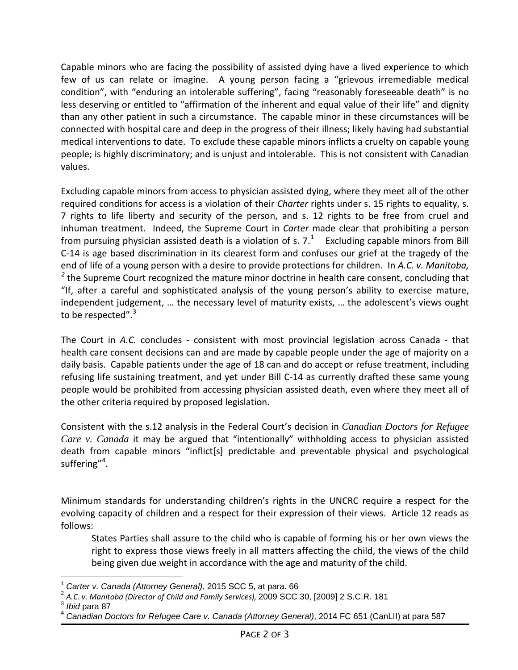Capable minors who are facing the possibility of assisted dying have a lived experience to which few of us can relate or imagine. A young person facing a "grievous irremediable medical condition", with "enduring an intolerable suffering", facing "reasonably foreseeable death" is no less deserving or entitled to "affirmation of the inherent and equal value of their life" and dignity than any other patient in such a circumstance. The capable minor in these circumstances will be connected with hospital care and deep in the progress of their illness; likely having had substantial medical interventions to date. To exclude these capable minors inflicts a cruelty on capable young people; is highly discriminatory; and is unjust and intolerable. This is not consistent with Canadian values.

Excluding capable minors from access to physician assisted dying, where they meet all of the other required conditions for access is a violation of their *Charter* rights under s. 15 rights to equality, s. 7 rights to life liberty and security of the person, and s. 12 rights to be free from cruel and inhuman treatment. Indeed, the Supreme Court in *Carter* made clear that prohibiting a person from pursuing physician assisted death is a violation of s.  $7.^1$  $7.^1$  Excluding capable minors from Bill C-14 is age based discrimination in its clearest form and confuses our grief at the tragedy of the end of life of a young person with a desire to provide protections for children. In *A.C. v. Manitoba,* <sup>[2](#page-1-1)</sup> the Supreme Court recognized the mature minor doctrine in health care consent, concluding that "If, after a careful and sophisticated analysis of the young person's ability to exercise mature, independent judgement, … the necessary level of maturity exists, … the adolescent's views ought to be respected".<sup>[3](#page-1-2)</sup>

The Court in *A.C.* concludes - consistent with most provincial legislation across Canada - that health care consent decisions can and are made by capable people under the age of majority on a daily basis. Capable patients under the age of 18 can and do accept or refuse treatment, including refusing life sustaining treatment, and yet under Bill C-14 as currently drafted these same young people would be prohibited from accessing physician assisted death, even where they meet all of the other criteria required by proposed legislation.

Consistent with the s.12 analysis in the Federal Court's decision in *Canadian Doctors for Refugee Care v. Canada* it may be argued that "intentionally" withholding access to physician assisted death from capable minors "inflict[s] predictable and preventable physical and psychological suffering"<sup>[4](#page-1-3)</sup>.

Minimum standards for understanding children's rights in the UNCRC require a respect for the evolving capacity of children and a respect for their expression of their views. Article 12 reads as follows:

States Parties shall assure to the child who is capable of forming his or her own views the right to express those views freely in all matters affecting the child, the views of the child being given due weight in accordance with the age and maturity of the child.

<span id="page-1-0"></span><sup>1</sup> *Carter v. Canada (Attorney General)*, 2015 SCC 5, at para. 66

<span id="page-1-1"></span><sup>2</sup> *A.C. v. Manitoba (Director of Child and Family Services),* 2009 SCC 30, [2009] 2 S.C.R. 181

<span id="page-1-3"></span><span id="page-1-2"></span>

*Ibid* para 87<br>*Canadian Doctors for Refugee Care v. Canada (Attorney General)*, 2014 FC 651 (CanLII) at para 587